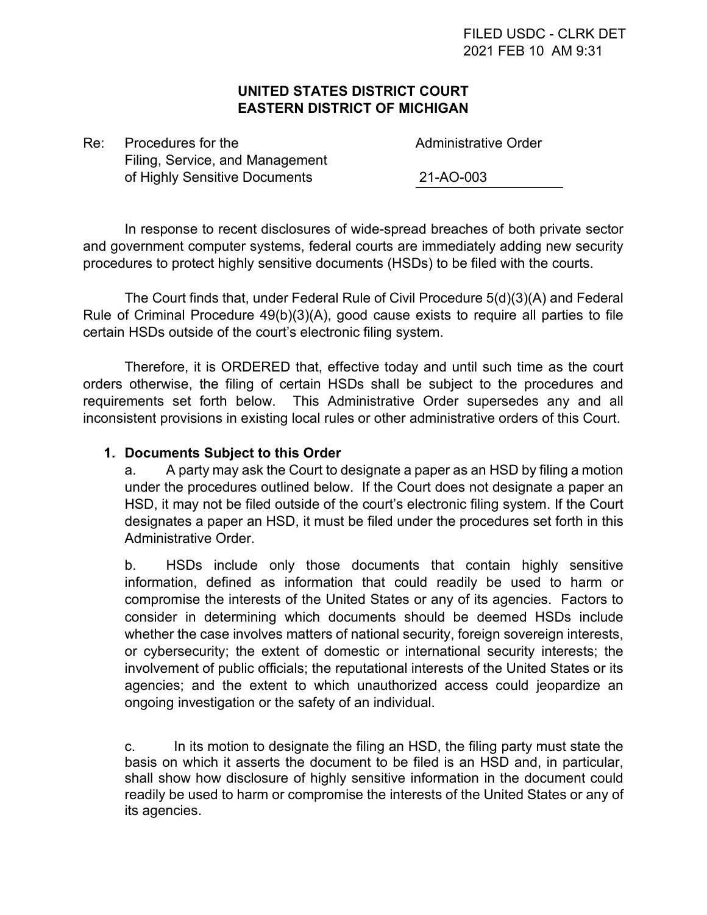## **UNITED STATES DISTRICT COURT EASTERN DISTRICT OF MICHIGAN**

Re: Procedures for the According to the Administrative Order Filing, Service, and Management of Highly Sensitive Documents 21-AO-003

In response to recent disclosures of wide-spread breaches of both private sector and government computer systems, federal courts are immediately adding new security procedures to protect highly sensitive documents (HSDs) to be filed with the courts.

The Court finds that, under Federal Rule of Civil Procedure 5(d)(3)(A) and Federal Rule of Criminal Procedure 49(b)(3)(A), good cause exists to require all parties to file certain HSDs outside of the court's electronic filing system.

Therefore, it is ORDERED that, effective today and until such time as the court orders otherwise, the filing of certain HSDs shall be subject to the procedures and requirements set forth below. This Administrative Order supersedes any and all inconsistent provisions in existing local rules or other administrative orders of this Court.

## **1. Documents Subject to this Order**

a. A party may ask the Court to designate a paper as an HSD by filing a motion under the procedures outlined below. If the Court does not designate a paper an HSD, it may not be filed outside of the court's electronic filing system. If the Court designates a paper an HSD, it must be filed under the procedures set forth in this Administrative Order.

b. HSDs include only those documents that contain highly sensitive information, defined as information that could readily be used to harm or compromise the interests of the United States or any of its agencies. Factors to consider in determining which documents should be deemed HSDs include whether the case involves matters of national security, foreign sovereign interests, or cybersecurity; the extent of domestic or international security interests; the involvement of public officials; the reputational interests of the United States or its agencies; and the extent to which unauthorized access could jeopardize an ongoing investigation or the safety of an individual.

c. In its motion to designate the filing an HSD, the filing party must state the basis on which it asserts the document to be filed is an HSD and, in particular, shall show how disclosure of highly sensitive information in the document could readily be used to harm or compromise the interests of the United States or any of its agencies.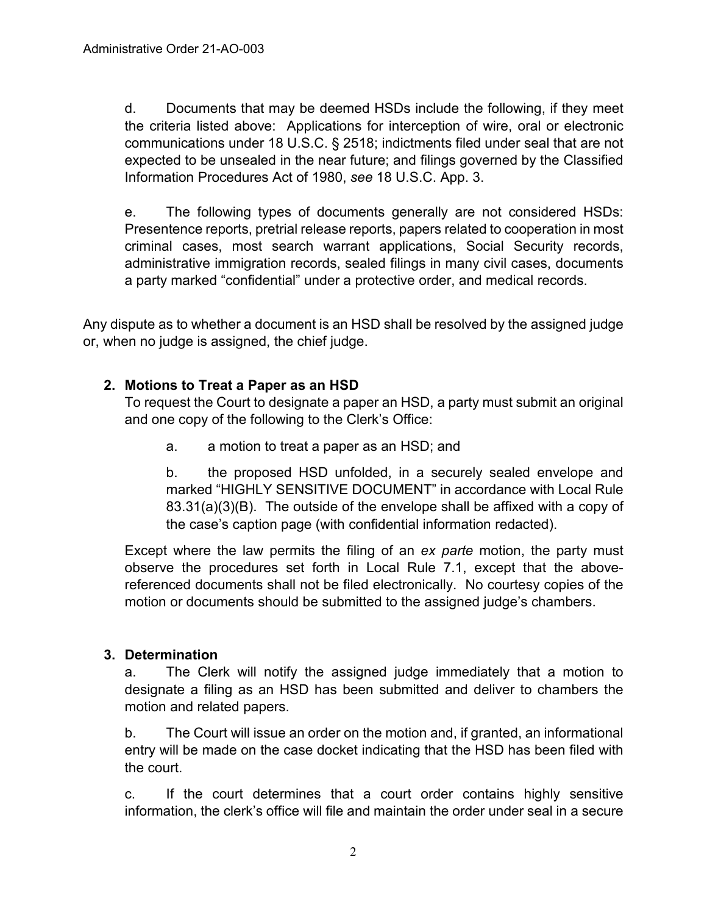d. Documents that may be deemed HSDs include the following, if they meet the criteria listed above: Applications for interception of wire, oral or electronic communications under 18 U.S.C. § 2518; indictments filed under seal that are not expected to be unsealed in the near future; and filings governed by the Classified Information Procedures Act of 1980, *see* 18 U.S.C. App. 3.

e. The following types of documents generally are not considered HSDs: Presentence reports, pretrial release reports, papers related to cooperation in most criminal cases, most search warrant applications, Social Security records, administrative immigration records, sealed filings in many civil cases, documents a party marked "confidential" under a protective order, and medical records.

Any dispute as to whether a document is an HSD shall be resolved by the assigned judge or, when no judge is assigned, the chief judge.

# **2. Motions to Treat a Paper as an HSD**

To request the Court to designate a paper an HSD, a party must submit an original and one copy of the following to the Clerk's Office:

a. a motion to treat a paper as an HSD; and

b. the proposed HSD unfolded, in a securely sealed envelope and marked "HIGHLY SENSITIVE DOCUMENT" in accordance with Local Rule 83.31(a)(3)(B). The outside of the envelope shall be affixed with a copy of the case's caption page (with confidential information redacted).

Except where the law permits the filing of an *ex parte* motion, the party must observe the procedures set forth in Local Rule 7.1, except that the abovereferenced documents shall not be filed electronically. No courtesy copies of the motion or documents should be submitted to the assigned judge's chambers.

# **3. Determination**

a. The Clerk will notify the assigned judge immediately that a motion to designate a filing as an HSD has been submitted and deliver to chambers the motion and related papers.

b. The Court will issue an order on the motion and, if granted, an informational entry will be made on the case docket indicating that the HSD has been filed with the court.

c. If the court determines that a court order contains highly sensitive information, the clerk's office will file and maintain the order under seal in a secure